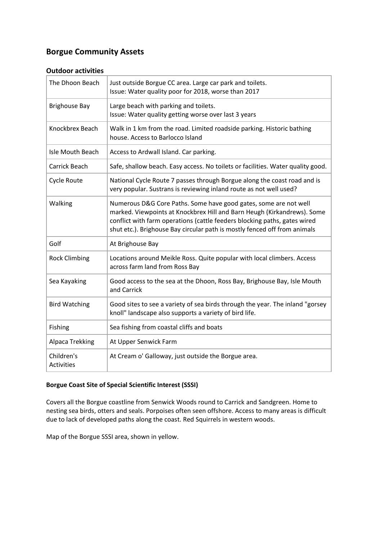# **Borgue Community Assets**

#### **Outdoor activities**

| The Dhoon Beach                 | Just outside Borgue CC area. Large car park and toilets.<br>Issue: Water quality poor for 2018, worse than 2017                                                                                                                                                                                       |  |
|---------------------------------|-------------------------------------------------------------------------------------------------------------------------------------------------------------------------------------------------------------------------------------------------------------------------------------------------------|--|
| <b>Brighouse Bay</b>            | Large beach with parking and toilets.<br>Issue: Water quality getting worse over last 3 years                                                                                                                                                                                                         |  |
| Knockbrex Beach                 | Walk in 1 km from the road. Limited roadside parking. Historic bathing<br>house. Access to Barlocco Island                                                                                                                                                                                            |  |
| Isle Mouth Beach                | Access to Ardwall Island. Car parking.                                                                                                                                                                                                                                                                |  |
| Carrick Beach                   | Safe, shallow beach. Easy access. No toilets or facilities. Water quality good.                                                                                                                                                                                                                       |  |
| <b>Cycle Route</b>              | National Cycle Route 7 passes through Borgue along the coast road and is<br>very popular. Sustrans is reviewing inland route as not well used?                                                                                                                                                        |  |
| Walking                         | Numerous D&G Core Paths. Some have good gates, some are not well<br>marked. Viewpoints at Knockbrex Hill and Barn Heugh (Kirkandrews). Some<br>conflict with farm operations (cattle feeders blocking paths, gates wired<br>shut etc.). Brighouse Bay circular path is mostly fenced off from animals |  |
| Golf                            | At Brighouse Bay                                                                                                                                                                                                                                                                                      |  |
| <b>Rock Climbing</b>            | Locations around Meikle Ross. Quite popular with local climbers. Access<br>across farm land from Ross Bay                                                                                                                                                                                             |  |
| Sea Kayaking                    | Good access to the sea at the Dhoon, Ross Bay, Brighouse Bay, Isle Mouth<br>and Carrick                                                                                                                                                                                                               |  |
| <b>Bird Watching</b>            | Good sites to see a variety of sea birds through the year. The inland "gorsey<br>knoll" landscape also supports a variety of bird life.                                                                                                                                                               |  |
| Fishing                         | Sea fishing from coastal cliffs and boats                                                                                                                                                                                                                                                             |  |
| Alpaca Trekking                 | At Upper Senwick Farm                                                                                                                                                                                                                                                                                 |  |
| Children's<br><b>Activities</b> | At Cream o' Galloway, just outside the Borgue area.                                                                                                                                                                                                                                                   |  |

### **Borgue Coast Site of Special Scientific Interest (SSSI)**

Covers all the Borgue coastline from Senwick Woods round to Carrick and Sandgreen. Home to nesting sea birds, otters and seals. Porpoises often seen offshore. Access to many areas is difficult due to lack of developed paths along the coast. Red Squirrels in western woods.

Map of the Borgue SSSI area, shown in yellow.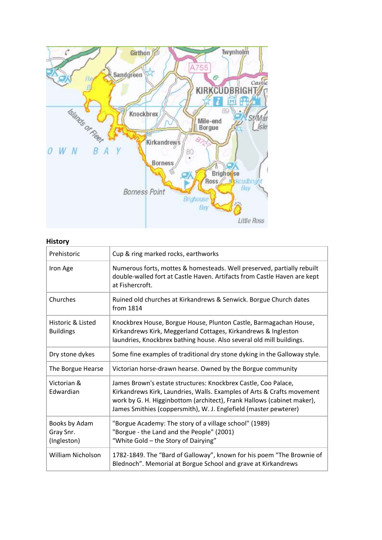

### **History**

| Prehistoric                                                                                                                                                                                                                                                                                                        | Cup & ring marked rocks, earthworks                                                                                                                                                                         |  |
|--------------------------------------------------------------------------------------------------------------------------------------------------------------------------------------------------------------------------------------------------------------------------------------------------------------------|-------------------------------------------------------------------------------------------------------------------------------------------------------------------------------------------------------------|--|
| Iron Age                                                                                                                                                                                                                                                                                                           | Numerous forts, mottes & homesteads. Well preserved, partially rebuilt<br>double-walled fort at Castle Haven. Artifacts from Castle Haven are kept<br>at Fishercroft.                                       |  |
| Churches                                                                                                                                                                                                                                                                                                           | Ruined old churches at Kirkandrews & Senwick. Borgue Church dates<br>from 1814                                                                                                                              |  |
| Historic & Listed<br><b>Buildings</b>                                                                                                                                                                                                                                                                              | Knockbrex House, Borgue House, Plunton Castle, Barmagachan House,<br>Kirkandrews Kirk, Meggerland Cottages, Kirkandrews & Ingleston<br>laundries, Knockbrex bathing house. Also several old mill buildings. |  |
| Dry stone dykes                                                                                                                                                                                                                                                                                                    | Some fine examples of traditional dry stone dyking in the Galloway style.                                                                                                                                   |  |
| The Borgue Hearse                                                                                                                                                                                                                                                                                                  | Victorian horse-drawn hearse. Owned by the Borgue community                                                                                                                                                 |  |
| Victorian &<br>James Brown's estate structures: Knockbrex Castle, Coo Palace,<br>Edwardian<br>Kirkandrews Kirk, Laundries, Walls. Examples of Arts & Crafts movement<br>work by G. H. Higginbottom (architect), Frank Hallows (cabinet maker),<br>James Smithies (coppersmith), W. J. Englefield (master pewterer) |                                                                                                                                                                                                             |  |
| Books by Adam<br>Gray Snr.<br>(Ingleston)                                                                                                                                                                                                                                                                          | "Borgue Academy: The story of a village school" (1989)<br>"Borgue - the Land and the People" (2001)<br>"White Gold - the Story of Dairying"                                                                 |  |
| <b>William Nicholson</b>                                                                                                                                                                                                                                                                                           | 1782-1849. The "Bard of Galloway", known for his poem "The Brownie of<br>Blednoch". Memorial at Borgue School and grave at Kirkandrews                                                                      |  |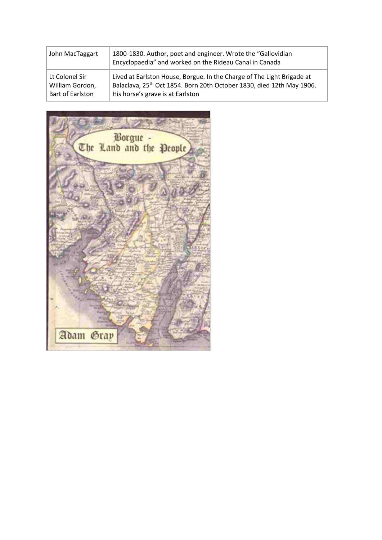| John MacTaggart  | 1800-1830. Author, poet and engineer. Wrote the "Gallovidian"<br>Encyclopaedia" and worked on the Rideau Canal in Canada |
|------------------|--------------------------------------------------------------------------------------------------------------------------|
| Lt Colonel Sir   | Lived at Earlston House, Borgue. In the Charge of The Light Brigade at                                                   |
| William Gordon,  | Balaclava, 25 <sup>th</sup> Oct 1854. Born 20th October 1830, died 12th May 1906.                                        |
| Bart of Earlston | His horse's grave is at Earlston                                                                                         |

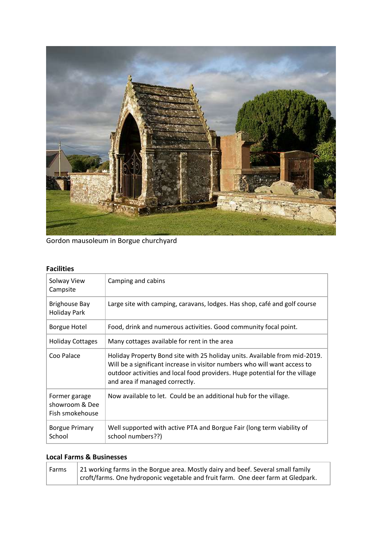

Gordon mausoleum in Borgue churchyard

### **Facilities**

| Solway View<br>Campsite                            | Camping and cabins                                                                                                                                                                                                                                                       |  |
|----------------------------------------------------|--------------------------------------------------------------------------------------------------------------------------------------------------------------------------------------------------------------------------------------------------------------------------|--|
| <b>Brighouse Bay</b><br>Holiday Park               | Large site with camping, caravans, lodges. Has shop, café and golf course                                                                                                                                                                                                |  |
| <b>Borgue Hotel</b>                                | Food, drink and numerous activities. Good community focal point.                                                                                                                                                                                                         |  |
| <b>Holiday Cottages</b>                            | Many cottages available for rent in the area                                                                                                                                                                                                                             |  |
| Coo Palace                                         | Holiday Property Bond site with 25 holiday units. Available from mid-2019.<br>Will be a significant increase in visitor numbers who will want access to<br>outdoor activities and local food providers. Huge potential for the village<br>and area if managed correctly. |  |
| Former garage<br>showroom & Dee<br>Fish smokehouse | Now available to let. Could be an additional hub for the village.                                                                                                                                                                                                        |  |
| <b>Borgue Primary</b><br>School                    | Well supported with active PTA and Borgue Fair (long term viability of<br>school numbers??)                                                                                                                                                                              |  |

## **Local Farms & Businesses**

| Farms | 21 working farms in the Borgue area. Mostly dairy and beef. Several small family |  |
|-------|----------------------------------------------------------------------------------|--|
|       | croft/farms. One hydroponic vegetable and fruit farm. One deer farm at Gledpark. |  |